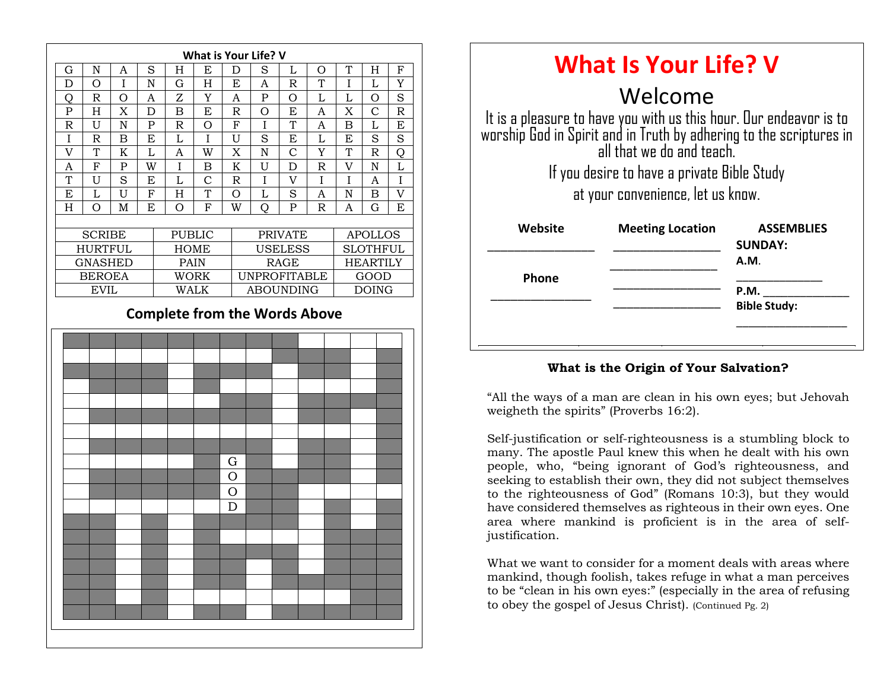

| <b>What Is Your Life? V</b>                                                                                                                          |                                                              |                             |
|------------------------------------------------------------------------------------------------------------------------------------------------------|--------------------------------------------------------------|-----------------------------|
| Welcome<br>It is a pleasure to have you with us this hour. Our endeavor is to<br>worship God in Spirit and in Truth by adhering to the scriptures in |                                                              |                             |
| all that we do and teach<br>If you desire to have a private Bible Study                                                                              |                                                              |                             |
| Website                                                                                                                                              | at your convenience, let us know.<br><b>Meeting Location</b> | <b>ASSEMBLIES</b>           |
| Phone                                                                                                                                                |                                                              | <b>SUNDAY:</b><br>A.M.      |
|                                                                                                                                                      |                                                              | P.M.<br><b>Bible Study:</b> |
|                                                                                                                                                      |                                                              |                             |

#### **What is the Origin of Your Salvation?**

"All the ways of a man are clean in his own eyes; but Jehovah weigheth the spirits" (Proverbs 16:2).

many. The apostle Paul knew this when he dealt with his own Self-justification or self-righteousness is a stumbling block to people, who, "being ignorant of God's righteousness, and seeking to establish their own, they did not subject themselves to the righteousness of God" (Romans 10:3), but they would have considered themselves as righteous in their own eyes. One area where mankind is proficient is in the area of selfjustification.

What we want to consider for a moment deals with areas where mankind, though foolish, takes refuge in what a man perceives to be "clean in his own eyes:" (especially in the area of refusing to obey the gospel of Jesus Christ). (Continued Pg. 2)